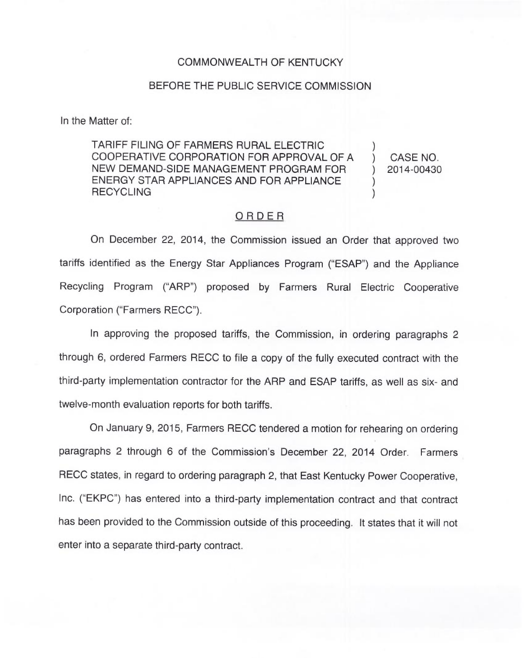## COMMONWEALTH OF KENTUCKY

## BEFORE THE PUBLIC SERVICE COMMISSION

In the Matter of:

TARIFF FILING OF FARMERS RURAL ELECTRIC COOPERATIVE CORPORATION FOR APPROVAL OF A NEW DEMAND-SIDE MANAGEMENT PROGRAM FOR ENERGY STAR APPLIANCES AND FOR APPLIANCE **RECYCLING** ) ) )

) CASE NO. ) 2014-00430

## ORDER

On December 22, 2014, the Commission issued an Order that approved two tariffs identified as the Energy Star Appliances Program ("ESAP") and the Appliance Recycling Program ("ARP") proposed by Farmers Rural Electric Cooperative Corporation ("Farmers RECC").

In approving the proposed tariffs, the Commission, in ordering paragraphs 2 through 6, ordered Farmers RECC to file a copy of the fully executed contract with the third-party implementation contractor for the ARP and ESAP tariffs, as well as six- and twelve-month evaluation reports for both tariffs.

On January 9, 2015, Farmers RECC tendered a motion for rehearing on ordering paragraphs 2 through 6 of the Commission's December 22, 2014 Order. Farmers RECC states, in regard to ordering paragraph 2, that East Kentucky Power Cooperative, Inc. ("EKPC") has entered into a third-party implementation contract and that contract has been provided to the Commission outside of this proceeding. It states that it will not enter into a separate third-party contract.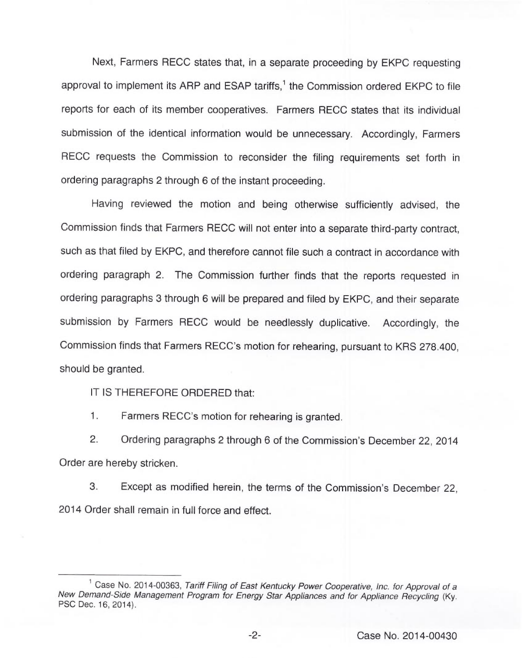Next, Farmers RECC states that, in a separate proceeding by EKPC requesting approval to implement its ARP and ESAP tariffs,<sup>1</sup> the Commission ordered EKPC to file reports for each of its member cooperatives. Farmers RECC states that its individual submission of the identical information would be unnecessary. Accordingly, Farmers RECC requests the Commission to reconsider the filing requirements set forth in ordering paragraphs 2 through 6 of the instant proceeding.

Having reviewed the motion and being otherwise sufficiently advised, the Commission finds that Farmers RECC will not enter into a separate third-party contract, such as that filed by EKPC, and therefore cannot file such a contract in accordance with ordering paragraph 2. The Commission further finds that the reports requested in ordering paragraphs 3 through 6 will be prepared and filed by EKPC, and their separate submission by Farmers RECC would be needlessly duplicative. Accordingly, the Commission finds that Farmers RECC's motion for rehearing, pursuant to KRS 278.400, should be granted.

IT IS THEREFORE ORDERED that:

 $\mathbf{1}$ . Farmers RECC's motion for rehearing is granted.

2. Ordering paragraphs 2 through 6 of the Commission's December 22, 2014 Order are hereby stricken.

3. Except as modified herein, the terms of the Commission's December 22, 2014 Order shall remain in full force and effect.

<sup>&</sup>lt;sup>1</sup> Case No. 2014-00363, Tariff Filing of East Kentucky Power Cooperative, Inc. for Approval of a New Demand-Side Management Program for Energy Star Appliances and for Appliance Recycling (Ky. PSC Dec. 16, 2014).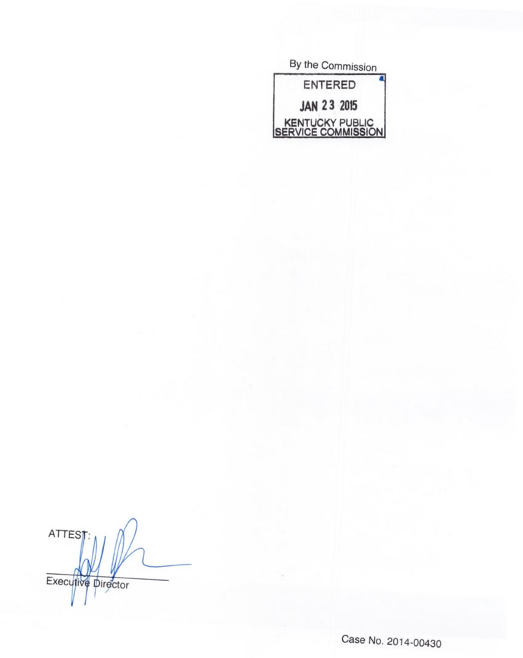By the Commission ENTERED **JAN 23 2015** KENTUCKY PUBLIC<br>SERVICE COMMISSION

**ATTEST** Executive Director

Case No. 2014-00430